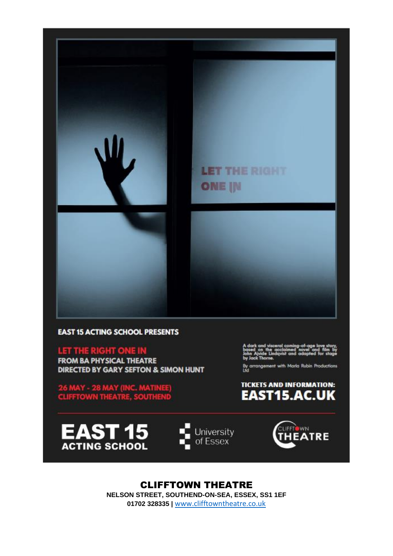

### **EAST 15 ACTING SCHOOL PRESENTS**

LET THE RIGHT ONE IN

**FROM BA PHYSICAL THEATRE** DIRECTED BY GARY SEFTON & SIMON HUNT

**26 MAY - 28 MAY (INC. MATINEE)**<br>CLIFFTOWN THEATRE, SOUTHEND

By arrangement with Marla Rubin Productions<br>Ltd









**CLIFFTOWN THEATRE** NELSON STREET, SOUTHEND-ON-SEA, ESSEX, SS1 1EF 01702 328335 | www.clifftowntheatre.co.uk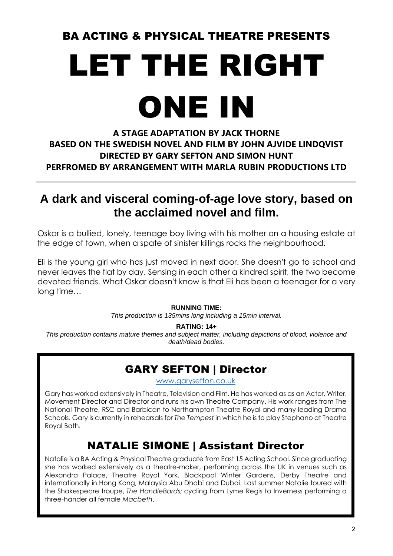## BA ACTING & PHYSICAL THEATRE PRESENTS

# LET THE RIGHT ONE IN

### **A STAGE ADAPTATION BY JACK THORNE BASED ON THE SWEDISH NOVEL AND FILM BY JOHN AJVIDE LINDQVIST DIRECTED BY GARY SEFTON AND SIMON HUNT PERFROMED BY ARRANGEMENT WITH MARLA RUBIN PRODUCTIONS LTD**

## **A dark and visceral coming-of-age love story, based on the acclaimed novel and film.**

Oskar is a bullied, lonely, teenage boy living with his mother on a housing estate at the edge of town, when a spate of sinister killings rocks the neighbourhood.

Eli is the young girl who has just moved in next door. She doesn't go to school and never leaves the flat by day. Sensing in each other a kindred spirit, the two become devoted friends. What Oskar doesn't know is that Eli has been a teenager for a very long time…

### **RUNNING TIME:**

*This production is 135mins long including a 15min interval.*

#### **RATING: 14+**

*This production contains mature themes and subject matter, including depictions of blood, violence and death/dead bodies.*

### GARY SEFTON | Director

[www.garysefton.co.uk](http://www.garysefton.co.uk/)

Gary has worked extensively in Theatre, Television and Film. He has worked as as an Actor, Writer, Movement Director and Director and runs his own Theatre Company. His work ranges from The National Theatre, RSC and Barbican to Northampton Theatre Royal and many leading Drama Schools. Gary is currently in rehearsals for *The Tempest* in which he is to play Stephano at Theatre Royal Bath.

## NATALIE SIMONE | Assistant Director

Natalie is a BA Acting & Physical Theatre graduate from East 15 Acting School. Since graduating she has worked extensively as a theatre-maker, performing across the UK in venues such as Alexandra Palace, Theatre Royal York, Blackpool Winter Gardens, Derby Theatre and internationally in Hong Kong, Malaysia Abu Dhabi and Dubai. Last summer Natalie toured with the Shakespeare troupe, *The HandleBards;* cycling from Lyme Regis to Inverness performing a three-hander all female *Macbeth*.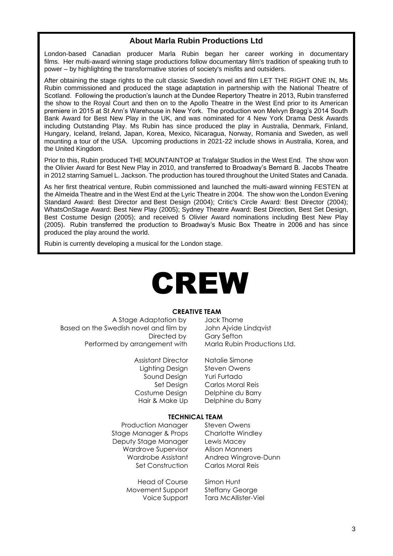### **About Marla Rubin Productions Ltd**

London-based Canadian producer Marla Rubin began her career working in documentary films. Her multi-award winning stage productions follow documentary film's tradition of speaking truth to power – by highlighting the transformative stories of society's misfits and outsiders.

After obtaining the stage rights to the cult classic Swedish novel and film LET THE RIGHT ONE IN, Ms Rubin commissioned and produced the stage adaptation in partnership with the National Theatre of Scotland. Following the production's launch at the Dundee Repertory Theatre in 2013, Rubin transferred the show to the Royal Court and then on to the Apollo Theatre in the West End prior to its American premiere in 2015 at St Ann's Warehouse in New York. The production won Melvyn Bragg's 2014 South Bank Award for Best New Play in the UK, and was nominated for 4 New York Drama Desk Awards including Outstanding Play. Ms Rubin has since produced the play in Australia, Denmark, Finland, Hungary, Iceland, Ireland, Japan, Korea, Mexico, Nicaragua, Norway, Romania and Sweden, as well mounting a tour of the USA. Upcoming productions in 2021-22 include shows in Australia, Korea, and the United Kingdom.

Prior to this, Rubin produced THE MOUNTAINTOP at Trafalgar Studios in the West End. The show won the Olivier Award for Best New Play in 2010, and transferred to Broadway's Bernard B. Jacobs Theatre in 2012 starring Samuel L. Jackson. The production has toured throughout the United States and Canada.

As her first theatrical venture, Rubin commissioned and launched the multi-award winning FESTEN at the Almeida Theatre and in the West End at the Lyric Theatre in 2004. The show won the London Evening Standard Award: Best Director and Best Design (2004); Critic's Circle Award: Best Director (2004); WhatsOnStage Award: Best New Play (2005); Sydney Theatre Award: Best Direction, Best Set Design, Best Costume Design (2005); and received 5 Olivier Award nominations including Best New Play (2005). Rubin transferred the production to Broadway's Music Box Theatre in 2006 and has since produced the play around the world.

Rubin is currently developing a musical for the London stage.

## CREW

#### **CREATIVE TEAM**

 A Stage Adaptation by Jack Thorne Based on the Swedish novel and film by John Ajvide Lindqvist Performed by arrangement with

> Assistant Director Natalie Simone Lighting Design Steven Owens Sound Design Yuri Furtado

Directed by Gary Sefton<br>aement with Marla Rubin Productions Ltd.

 Set Design Carlos Moral Reis Costume Design Delphine du Barry Hair & Make Up Delphine du Barry

#### **TECHNICAL TEAM**

Production Manager Steven Owens Stage Manager & Props Charlotte Windley Deputy Stage Manager Lewis Macey Wardrove Supervisor Alison Manners

Head of Course Simon Hunt Movement Support Steffany George

Wardrobe Assistant Andrea Wingrove-Dunn Set Construction Carlos Moral Reis

Voice Support Tara McAllister-Viel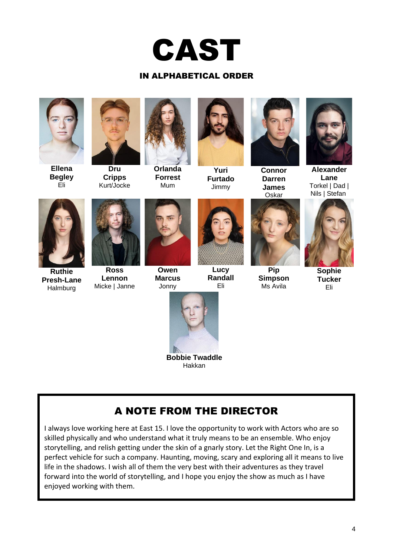

### IN ALPHABETICAL ORDER

**Ellena Begley** Eli



**Dru Cripps** Kurt/Jocke



**Orlanda Forrest** Mum



**Yuri Furtado** Jimmy



**Connor Darren James** Oskar



**Alexander Lane** Torkel | Dad | Nils | Stefan



**Ruthie Presh-Lane Halmburg** 



**Ross Lennon** Micke | Janne



**Owen Marcus**



**Lucy Randall** Eli



**Pip Simpson** Ms Avila



**Sophie Tucker** Eli



**Bobbie Twaddle** Hakkan

### A NOTE FROM THE DIRECTOR

I always love working here at East 15. I love the opportunity to work with Actors who are so skilled physically and who understand what it truly means to be an ensemble. Who enjoy storytelling, and relish getting under the skin of a gnarly story. Let the Right One In, is a perfect vehicle for such a company. Haunting, moving, scary and exploring all it means to live life in the shadows. I wish all of them the very best with their adventures as they travel forward into the world of storytelling, and I hope you enjoy the show as much as I have enjoyed working with them.